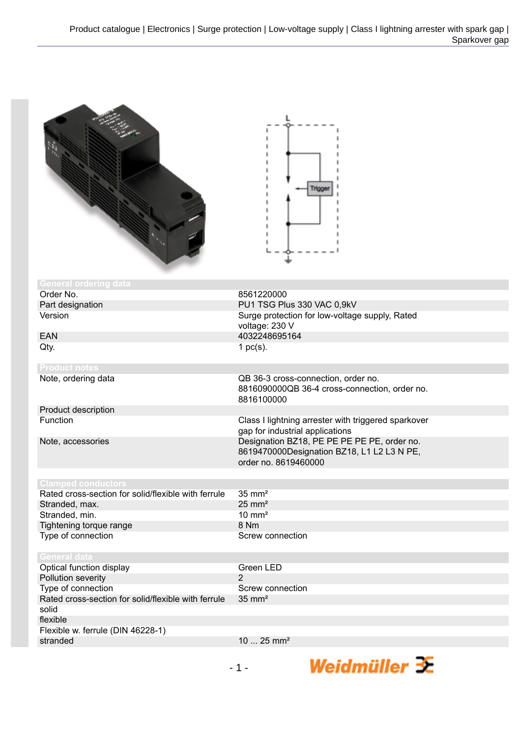|                                                     | Trigge                                                                                                            |
|-----------------------------------------------------|-------------------------------------------------------------------------------------------------------------------|
| <b>General ordering data</b>                        |                                                                                                                   |
| Order No.                                           | 8561220000                                                                                                        |
| Part designation                                    | PU1 TSG Plus 330 VAC 0,9kV                                                                                        |
| Version                                             | Surge protection for low-voltage supply, Rated<br>voltage: 230 V                                                  |
| <b>EAN</b>                                          | 4032248695164                                                                                                     |
| Qty.                                                | 1 $pc(s)$ .                                                                                                       |
| <b>Product notes</b>                                |                                                                                                                   |
| Note, ordering data                                 | QB 36-3 cross-connection, order no.<br>8816090000QB 36-4 cross-connection, order no.<br>8816100000                |
| Product description                                 |                                                                                                                   |
| Function                                            | Class I lightning arrester with triggered sparkover<br>gap for industrial applications                            |
| Note, accessories                                   | Designation BZ18, PE PE PE PE PE, order no.<br>8619470000Designation BZ18, L1 L2 L3 N PE,<br>order no. 8619460000 |
| Clamped conductors                                  |                                                                                                                   |
| Rated cross-section for solid/flexible with ferrule | $35 \text{ mm}^2$                                                                                                 |
| Stranded, max.                                      | $25 \text{ mm}^2$                                                                                                 |
| Stranded, min.                                      | $10 \text{ mm}^2$                                                                                                 |
| Tightening torque range                             | 8 Nm                                                                                                              |
| Type of connection                                  | Screw connection                                                                                                  |
| <b>General data</b>                                 |                                                                                                                   |
| Optical function display                            | Green LED                                                                                                         |
| Pollution severity                                  | $\overline{2}$                                                                                                    |
| Type of connection                                  | Screw connection                                                                                                  |
| Rated cross-section for solid/flexible with ferrule | $35 \text{ mm}^2$                                                                                                 |
| solid                                               |                                                                                                                   |
| flexible                                            |                                                                                                                   |
| Flexible w. ferrule (DIN 46228-1)                   |                                                                                                                   |
| stranded                                            | 10  25 mm <sup>2</sup>                                                                                            |
|                                                     |                                                                                                                   |

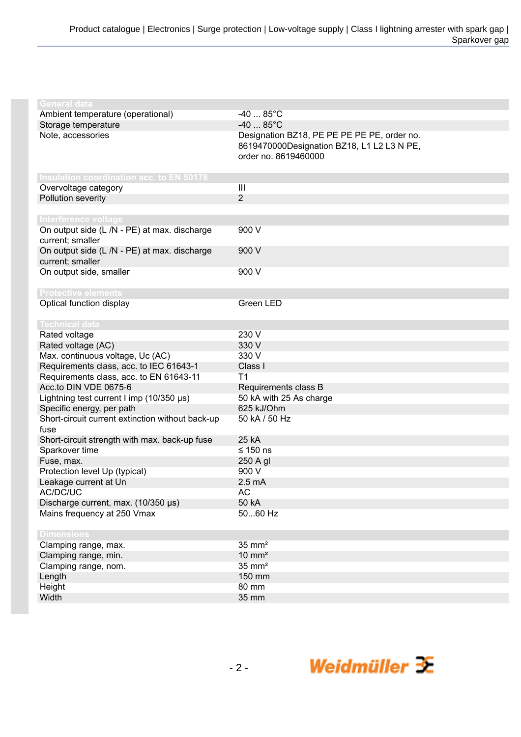| General data                                     |                                             |
|--------------------------------------------------|---------------------------------------------|
| Ambient temperature (operational)                | $-4085^{\circ}C$                            |
| Storage temperature                              | $-4085^{\circ}C$                            |
| Note, accessories                                | Designation BZ18, PE PE PE PE PE, order no. |
|                                                  | 8619470000Designation BZ18, L1 L2 L3 N PE,  |
|                                                  | order no. 8619460000                        |
|                                                  |                                             |
| <b>Insulation coordination acc. to EN 50178</b>  |                                             |
| Overvoltage category                             | III                                         |
| Pollution severity                               | $\overline{2}$                              |
|                                                  |                                             |
| Interference voltage                             |                                             |
| On output side (L /N - PE) at max. discharge     | 900 V                                       |
| current; smaller                                 |                                             |
| On output side (L /N - PE) at max. discharge     | 900 V                                       |
| current; smaller                                 |                                             |
| On output side, smaller                          | 900 V                                       |
|                                                  |                                             |
| <b>Protective elements</b>                       |                                             |
| Optical function display                         | Green LED                                   |
|                                                  |                                             |
| <b>Technical data</b>                            |                                             |
| Rated voltage                                    | 230 V                                       |
| Rated voltage (AC)                               | 330 V                                       |
| Max. continuous voltage, Uc (AC)                 | 330 V                                       |
| Requirements class, acc. to IEC 61643-1          | Class I                                     |
| Requirements class, acc. to EN 61643-11          | T1                                          |
| Acc.to DIN VDE 0675-6                            | Requirements class B                        |
| Lightning test current I imp (10/350 µs)         | 50 kA with 25 As charge                     |
| Specific energy, per path                        | 625 kJ/Ohm                                  |
| Short-circuit current extinction without back-up | 50 kA / 50 Hz                               |
| fuse                                             |                                             |
| Short-circuit strength with max. back-up fuse    | 25 kA                                       |
| Sparkover time                                   | ≤ 150 ns                                    |
| Fuse, max.                                       | 250 A gl                                    |
| Protection level Up (typical)                    | 900 V                                       |
| Leakage current at Un                            | 2.5 <sub>m</sub> A                          |
| AC/DC/UC                                         | <b>AC</b>                                   |
| Discharge current, max. (10/350 µs)              | 50 kA                                       |
| Mains frequency at 250 Vmax                      | 5060 Hz                                     |
|                                                  |                                             |
| <b>Dimensions</b>                                |                                             |
| Clamping range, max.                             | $35 \text{ mm}^2$                           |
| Clamping range, min.                             | $10 \text{ mm}^2$                           |
| Clamping range, nom.                             | $35 \text{ mm}^2$                           |
| Length                                           | 150 mm                                      |
| Height                                           | 80 mm                                       |
| Width                                            | 35 mm                                       |
|                                                  |                                             |